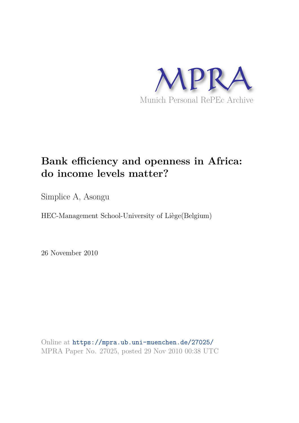

# **Bank efficiency and openness in Africa: do income levels matter?**

Simplice A, Asongu

HEC-Management School-University of Liège(Belgium)

26 November 2010

Online at https://mpra.ub.uni-muenchen.de/27025/ MPRA Paper No. 27025, posted 29 Nov 2010 00:38 UTC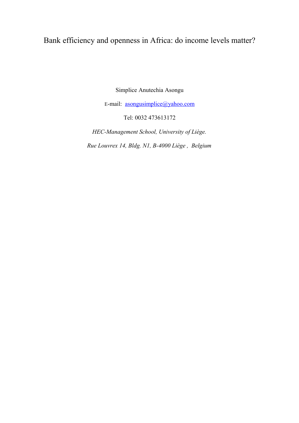# Bank efficiency and openness in Africa: do income levels matter?

Simplice Anutechia Asongu

E-mail: asongusimplice@yahoo.com

Tel: 0032 473613172

*HEC-Management School, University of Liège. Rue Louvrex 14, Bldg. N1, B-4000 Liège , Belgium*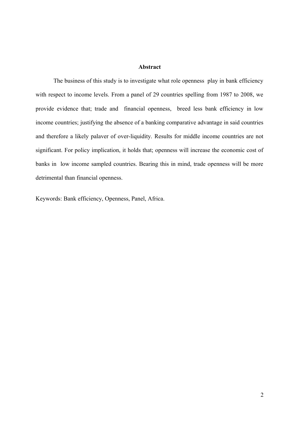# **Abstract**

The business of this study is to investigate what role openness play in bank efficiency with respect to income levels. From a panel of 29 countries spelling from 1987 to 2008, we provide evidence that; trade and financial openness, breed less bank efficiency in low income countries; justifying the absence of a banking comparative advantage in said countries and therefore a likely palaver of over-liquidity. Results for middle income countries are not significant. For policy implication, it holds that; openness will increase the economic cost of banks in low income sampled countries. Bearing this in mind, trade openness will be more detrimental than financial openness.

Keywords: Bank efficiency, Openness, Panel, Africa.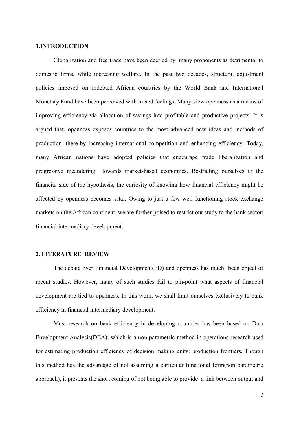#### **1.INTRODUCTION**

Globalization and free trade have been decried by many proponents as detrimental to domestic firms, while increasing welfare. In the past two decades, structural adjustment policies imposed on indebted African countries by the World Bank and International Monetary Fund have been perceived with mixed feelings. Many view openness as a means of improving efficiency via allocation of savings into profitable and productive projects. It is argued that, openness exposes countries to the most advanced new ideas and methods of production, there-by increasing international competition and enhancing efficiency. Today, many African nations have adopted policies that encourage trade liberalization and progressive meandering towards market-based economies. Restricting ourselves to the financial side of the hypothesis, the curiosity of knowing how financial efficiency might be affected by openness becomes vital. Owing to just a few well functioning stock exchange markets on the African continent, we are further poised to restrict our study to the bank sector: financial intermediary development.

#### **2. LITERATURE REVIEW**

The debate over Financial Development(FD) and openness has much been object of recent studies. However, many of such studies fail to pin-point what aspects of financial development are tied to openness. In this work, we shall limit ourselves exclusively to bank efficiency in financial intermediary development.

Most research on bank efficiency in developing countries has been based on Data Envelopment Analysis(DEA); which is a non parametric method in operations research used for estimating production efficiency of decision making units: production frontiers. Though this method has the advantage of not assuming a particular functional form(non parametric approach), it presents the short coming of not being able to provide a link between output and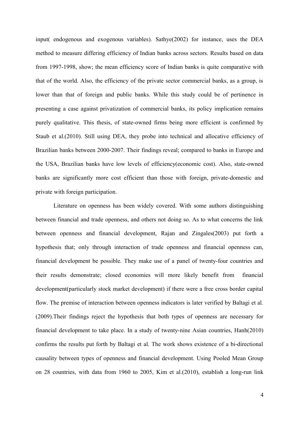input( endogenous and exogenous variables). Sathye(2002) for instance, uses the DEA method to measure differing efficiency of Indian banks across sectors. Results based on data from 1997-1998, show; the mean efficiency score of Indian banks is quite comparative with that of the world. Also, the efficiency of the private sector commercial banks, as a group, is lower than that of foreign and public banks. While this study could be of pertinence in presenting a case against privatization of commercial banks, its policy implication remains purely qualitative. This thesis, of state-owned firms being more efficient is confirmed by Staub et al.(2010). Still using DEA, they probe into technical and allocative efficiency of Brazilian banks between 2000-2007. Their findings reveal; compared to banks in Europe and the USA, Brazilian banks have low levels of efficiency(economic cost). Also, state-owned banks are significantly more cost efficient than those with foreign, private-domestic and private with foreign participation.

Literature on openness has been widely covered. With some authors distinguishing between financial and trade openness, and others not doing so. As to what concerns the link between openness and financial development, Rajan and Zingales(2003) put forth a hypothesis that; only through interaction of trade openness and financial openness can, financial development be possible. They make use of a panel of twenty-four countries and their results demonstrate; closed economies will more likely benefit from financial development(particularly stock market development) if there were a free cross border capital flow. The premise of interaction between openness indicators is later verified by Baltagi et al. (2009).Their findings reject the hypothesis that both types of openness are necessary for financial development to take place. In a study of twenty-nine Asian countries, Hanh(2010) confirms the results put forth by Baltagi et al. The work shows existence of a bi-directional causality between types of openness and financial development. Using Pooled Mean Group on 28 countries, with data from 1960 to 2005, Kim et al.(2010), establish a long-run link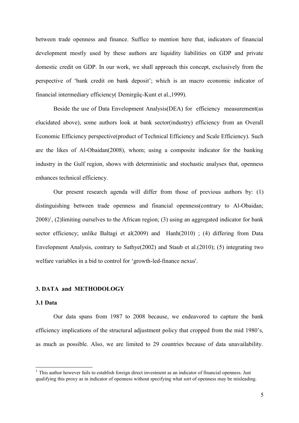between trade openness and finance. Suffice to mention here that, indicators of financial development mostly used by these authors are liquidity liabilities on GDP and private domestic credit on GDP. In our work, we shall approach this concept, exclusively from the perspective of 'bank credit on bank deposit'; which is an macro economic indicator of financial intermediary efficiency( Demirgüç-Kunt et al.,1999).

Beside the use of Data Envelopment Analysis(DEA) for efficiency measurement(as elucidated above), some authors look at bank sector(industry) efficiency from an Overall Economic Efficiency perspective(product of Technical Efficiency and Scale Efficiency). Such are the likes of Al-Obaidan(2008), whom; using a composite indicator for the banking industry in the Gulf region, shows with deterministic and stochastic analyses that, openness enhances technical efficiency.

Our present research agenda will differ from those of previous authors by: (1) distinguishing between trade openness and financial openness(contrary to Al-Obaidan;  $2008$ <sup>1</sup>, (2)limiting ourselves to the African region; (3) using an aggregated indicator for bank sector efficiency; unlike Baltagi et al(2009) and Hanh(2010) ; (4) differing from Data Envelopment Analysis, contrary to Sathye(2002) and Staub et al.(2010); (5) integrating two welfare variables in a bid to control for 'growth-led-finance nexus'.

# **3. DATA and METHODOLOGY**

#### **3.1 Data**

Our data spans from 1987 to 2008 because, we endeavored to capture the bank efficiency implications of the structural adjustment policy that cropped from the mid 1980's, as much as possible. Also, we are limited to 29 countries because of data unavailability.

<sup>&</sup>lt;sup>1</sup> This author however fails to establish foreign direct investment as an indicator of financial openness. Just qualifying this proxy as in indicator of openness without specifying what sort of openness may be misleading.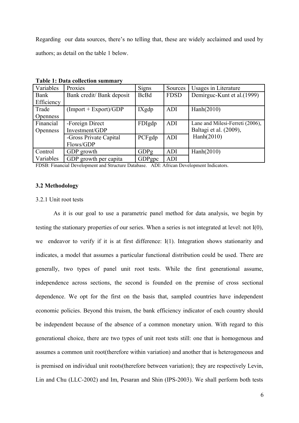Regarding our data sources, there's no telling that, these are widely acclaimed and used by authors; as detail on the table 1 below.

| Variables       | Proxies                   | <b>Signs</b> | Sources     | Usages in Literature            |
|-----------------|---------------------------|--------------|-------------|---------------------------------|
| Bank            | Bank credit/ Bank deposit | <b>BcBd</b>  | <b>FDSD</b> | Demirguc-Kunt et al. (1999)     |
| Efficiency      |                           |              |             |                                 |
| Trade           | $(Import + Expert)/GDP$   | IXgdp        | ADI         | Hanh(2010)                      |
| <b>Openness</b> |                           |              |             |                                 |
| Financial       | -Foreign Direct           | FDIgdp       | ADI         | Lane and Milesi-Ferreti (2006), |
| <b>Openness</b> | Investment/GDP            |              |             | Baltagi et al. (2009),          |
|                 | -Gross Private Capital    | PCFgdp       | ADI         | Hanh(2010)                      |
|                 | Flows/GDP                 |              |             |                                 |
| Control         | GDP growth                | GDPg         | ADI         | Hanh(2010)                      |
| Variables       | GDP growth per capita     | GDPgpc       | ADI         |                                 |

**Table 1: Data collection summary**

FDSB: Financial Development and Structure Database. ADI: African Development Indicators.

# **3.2 Methodology**

#### 3.2.1 Unit root tests

As it is our goal to use a parametric panel method for data analysis, we begin by testing the stationary properties of our series. When a series is not integrated at level: not I(0), we endeavor to verify if it is at first difference: I(1). Integration shows stationarity and indicates, a model that assumes a particular functional distribution could be used. There are generally, two types of panel unit root tests. While the first generational assume, independence across sections, the second is founded on the premise of cross sectional dependence. We opt for the first on the basis that, sampled countries have independent economic policies. Beyond this truism, the bank efficiency indicator of each country should be independent because of the absence of a common monetary union. With regard to this generational choice, there are two types of unit root tests still: one that is homogenous and assumes a common unit root(therefore within variation) and another that is heterogeneous and is premised on individual unit roots(therefore between variation); they are respectively Levin, Lin and Chu (LLC-2002) and Im, Pesaran and Shin (IPS-2003). We shall perform both tests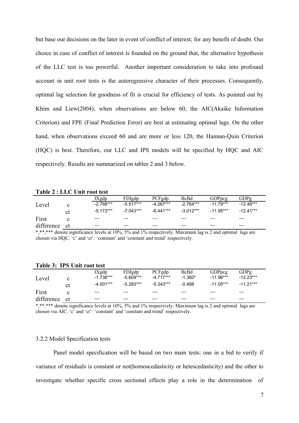but base our decisions on the later in event of conflict of interest; for any benefit of doubt. Our choice in case of conflict of interest is founded on the ground that, the alternative hypothesis of the LLC test is too powerful. Another important consideration to take into profound account in unit root tests is the autoregressive character of their processes. Consequently, optimal lag selection for goodness of fit is crucial for efficiency of tests. As pointed out by Khim and Liew(2004); when observations are below 60, the AIC(Akaike Information Criterion) and FPE (Final Prediction Error) are best at estimating optimal lags. On the other hand, when observations exceed 60 and are more or less 120, the Hannan-Quin Criterion (HQC) is best. Therefore, our LLC and IPS models will be specified by HQC and AIC respectively. Results are summarized on tables 2 and 3 below.

**Table 2 : LLC Unit root test**

|            |     | IXgdp       | FDIgdp      | PCFgdp      | BcBd        | GDPpcg      | GDPg        |  |  |
|------------|-----|-------------|-------------|-------------|-------------|-------------|-------------|--|--|
| Level      |     | $-2.788***$ | $-5.517***$ | $-4.267***$ | $-2.764***$ | $-11.79***$ | $-12.48***$ |  |  |
|            | сt  | $-5.173***$ | $-7.043***$ | $-6.441***$ | $-3.012***$ | $-11.95***$ | $-12.41***$ |  |  |
| First      |     | $- - -$     | ---         | ---         | ---         | ---         | ---         |  |  |
| difference | .ct | $- - -$     | $- - -$     | $- - -$     | $- - -$     | $- - -$     | $- - -$     |  |  |

\*,\*\*,\*\*\* denote significance levels at 10%, 5% and 1% respectively. Maximum lag is 2 and optimal lags are chosen via HQC. 'c' and 'ct': 'constant' and 'constant and trend' respectively.

| Level      |               | IXgdp<br>$-1.736***$ | FDIgdp<br>$-5.609***$ | PCFgdp<br>$-4.717***$ | BcBd<br>$-1.360*$ | GDPpcg<br>$-11.96***$ | GDPg<br>$-12.23***$ |
|------------|---------------|----------------------|-----------------------|-----------------------|-------------------|-----------------------|---------------------|
|            | сt            | $-4.001***$          | $-5.283***$           | $-5.343***$           | $-0.498$          | $-11.05***$           | $-11.21***$         |
| First      |               | ---                  | ---                   | ---                   | ---               | $- - -$               | ---                 |
| difference | <sub>ct</sub> | $- - -$              | $- - -$               | ---                   | ---               | $- - -$               | $- - -$             |

**Table 3: IPS Unit root test**

\*,\*\*,\*\*\* denote significance levels at 10%, 5% and 1% respectively. Maximum lag is 2 and optimal lags are chosen via AIC. 'c' and 'ct': 'constant' and 'constant and trend' respectively.

# 3.2.2 Model Specification tests

Panel model specification will be based on two main tests: one in a bid to verify if variance of residuals is constant or not(homoscedasticity or hetescedasticity) and the other to investigate whether specific cross sectional effects play a role in the determination of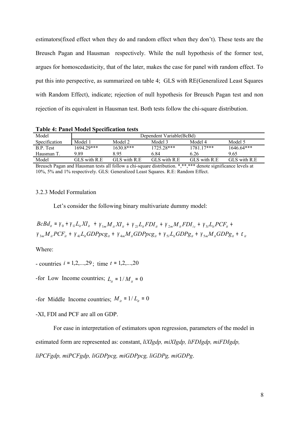estimators(fixed effect when they do and random effect when they don't). These tests are the Breusch Pagan and Hausman respectively. While the null hypothesis of the former test, argues for homoscedasticity, that of the later, makes the case for panel with random effect. To put this into perspective, as summarized on table 4; GLS with RE(Generalized Least Squares with Random Effect), indicate; rejection of null hypothesis for Breusch Pagan test and non rejection of its equivalent in Hausman test. Both tests follow the chi-square distribution.

| <b>Table 4: Panel Model Specification tests</b> |  |
|-------------------------------------------------|--|
|-------------------------------------------------|--|

| Model         | Dependent Variable (BcBd) |               |               |               |               |  |  |  |
|---------------|---------------------------|---------------|---------------|---------------|---------------|--|--|--|
| Specification | Model 1                   | Model 2       | Model 3       | Model 4       | Model 5       |  |  |  |
| B.P. Test     | 1694.29***                | $1630.8***$   | 1725.28***    | $178117***$   | $1646.64***$  |  |  |  |
| Hausman T.    | 9 89                      | 895           | 6 84          | 6.26          | 9.65          |  |  |  |
| Model         | GLS with R.E              | GLS with R.E. | GLS with R.E. | GLS with R.E. | GLS with R.E. |  |  |  |

Breusch Pagan and Hausman tests all follow a chi-square distribution. \*,\*\*,\*\*\* denote significance levels at 10%, 5% and 1% respectively. GLS: Generalized Least Squares. R.E: Random Effect.

# 3.2.3 Model Formulation

Let's consider the following binary multivariate dummy model:

$$
BCBd_{ii} = \gamma_0 + \gamma_{1l}L_{ii}XI_{ii} + \gamma_{1m}M_{ii}XI_{ii} + \gamma_{2l}L_{ii}FDI_{ii} + \gamma_{2m}M_{ii}FDI_{i} + \gamma_{3l}L_{ii}PCF_{ii} + \gamma_{3m}M_{ii}PCF_{ii} + \gamma_{4l}L_{ii}GDPPG_{ii} + \gamma_{4m}M_{ii}GDPPG_{ii} + \gamma_{5l}L_{ii}GDPg_{ii} + \gamma_{5m}M_{ii}GDPg_{ii} + \varepsilon_{ii}
$$

Where:

- countries  $i = 1, 2, \ldots, 29$ ; time  $t = 1, 2, \ldots, 20$ 

-for Low Income countries;  $L_i = 1/M_i = 0$ 

-for Middle Income countries;  $M_i = 1/L_i = 0$ 

-XI, FDI and PCF are all on GDP.

For ease in interpretation of estimators upon regression, parameters of the model in estimated form are represented as: constant, *liXIgdp, miXIgdp, liFDIgdp, miFDIgdp,* 

*liPCFgdp, miPCFgdp, liGDPpcg, miGDPpcg, liGDPg, miGDPg*.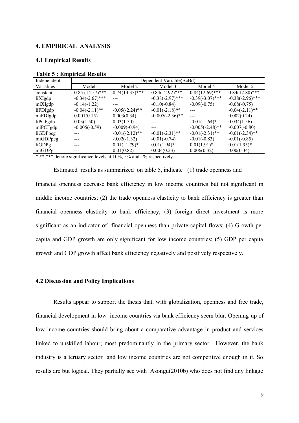#### **4. EMPIRICAL ANALYSIS**

# **4.1 Empirical Results**

| Independent | Dependent Variable(BcBd) |                   |                    |                    |                    |  |  |  |  |  |
|-------------|--------------------------|-------------------|--------------------|--------------------|--------------------|--|--|--|--|--|
| Variables   | Model 1                  | Model 2           | Model 3            | Model 4            | Model 5            |  |  |  |  |  |
| constant    | $0.85(14.57)$ ***        | $0.74(14.35)$ *** | $0.84(12.92)$ ***  | $0.84(12.69)$ ***  | $0.84(12.80)$ ***  |  |  |  |  |  |
| liXIgdp     | $-0.34(-2.67)$ ***       | ---               | $-0.38(-2.97)$ *** | $-0.39(-3.07)$ *** | $-0.38(-2.96)$ *** |  |  |  |  |  |
| miXIgdp     | $-0.14(-1.22)$           |                   | $-0.10(-0.84)$     | $-0.09(-0.75)$     | $-0.08(-0.75)$     |  |  |  |  |  |
| liFDIgdp    | $-0.04(-2.11)$ **        | $-0.05(-2.24)$ ** | $-0.01(-2.18)$ **  |                    | $-0.04(-2.11)$ **  |  |  |  |  |  |
| miFDIgdp    | 0.001(0.15)              | 0.003(0.34)       | $-0.005(-2.36)$ ** |                    | 0.002(0.24)        |  |  |  |  |  |
| liPCFgdp    | 0.03(1.50)               | 0.03(1.50)        |                    | $-0.01(-1.64)$ *   | 0.034(1.56)        |  |  |  |  |  |
| miPCFgdp    | $-0.005(-0.59)$          | $-0.009(-0.94)$   |                    | $-0.005(-2.48)$ ** | $-0.007(-0.80)$    |  |  |  |  |  |
| liGDPpcg    |                          | $-0.01(-2.12)$ ** | $-0.01(-2.31)$ **  | $-0.01(-2.31)$ **  | $-0.01(-2.34)$ **  |  |  |  |  |  |
| miGDPpcg    |                          | $-0.02(-1.32)$    | $-0.01(-0.74)$     | $-0.01(-0.83)$     | $-0.01(-0.85)$     |  |  |  |  |  |
| liGDPg      |                          | $0.01(1.79)*$     | $0.01(1.94)^*$     | $0.01(1.91)^*$     | $0.01(1.95)^*$     |  |  |  |  |  |
| miGDPg      |                          | 0.01(0.82)        | 0.004(0.23)        | 0.006(0.32)        | 0.00(0.34)         |  |  |  |  |  |

#### **Table 5 : Empirical Results**

\*,\*\*\*\* denote significance levels at 10%, 5% and 1% respectively.

Estimated results as summarized on table 5, indicate : (1) trade openness and financial openness decrease bank efficiency in low income countries but not significant in middle income countries; (2) the trade openness elasticity to bank efficiency is greater than financial openness elasticity to bank efficiency; (3) foreign direct investment is more significant as an indicator of financial openness than private capital flows; (4) Growth per capita and GDP growth are only significant for low income countries; (5) GDP per capita growth and GDP growth affect bank efficiency negatively and positively respectively.

#### **4.2 Discussion and Policy Implications**

Results appear to support the thesis that, with globalization, openness and free trade, financial development in low income countries via bank efficiency seem blur. Opening up of low income countries should bring about a comparative advantage in product and services linked to unskilled labour; most predominantly in the primary sector. However, the bank industry is a tertiary sector and low income countries are not competitive enough in it. So results are but logical. They partially see with Asongu(2010b) who does not find any linkage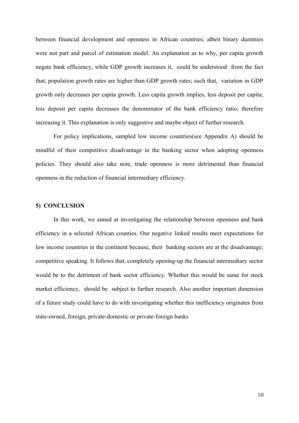between financial development and openness in African countries; albeit binary dummies were not part and parcel of estimation model. An explanation as to why, per capita growth negate bank efficiency, while GDP growth increases it, could be understood from the fact that; population growth rates are higher than GDP growth rates; such that, variation in GDP growth only decreases per capita growth. Less capita growth implies, less deposit per capita; less deposit per capita decreases the denominator of the bank efficiency ratio; therefore increasing it. This explanation is only suggestive and maybe object of further research.

For policy implications, sampled low income countries(see Appendix A) should be mindful of their competitive disadvantage in the banking sector when adopting openness policies. They should also take note, trade openness is more detrimental than financial openness in the reduction of financial intermediary efficiency.

## **5) CONCLUSION**

In this work, we aimed at investigating the relationship between openness and bank efficiency in a selected African counties. Our negative linked results meet expectations for low income countries in the continent because, their banking sectors are at the disadvantage; competitive speaking. It follows that, completely opening-up the financial intermediary sector would be to the detriment of bank sector efficiency. Whether this would be same for stock market efficiency, should be subject to further research. Also another important dimension of a future study could have to do with investigating whether this inefficiency originates from state-owned, foreign, private-domestic or private-foreign banks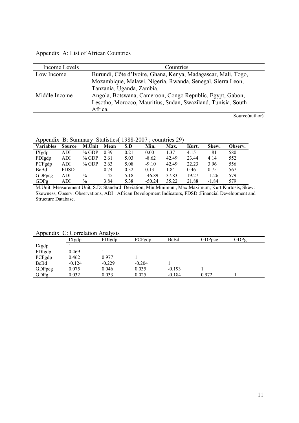# Appendix A: List of African Countries

| Income Levels | Countries                                                     |
|---------------|---------------------------------------------------------------|
| Low Income    | Burundi, Côte d'Ivoire, Ghana, Kenya, Madagascar, Mali, Togo, |
|               | Mozambique, Malawi, Nigeria, Rwanda, Senegal, Sierra Leon,    |
|               | Tanzania, Uganda, Zambia.                                     |
| Middle Income | Angola, Botswana, Cameroon, Congo Republic, Egypt, Gabon,     |
|               | Lesotho, Morocco, Mauritius, Sudan, Swaziland, Tunisia, South |
|               | Africa.                                                       |
|               | $S_{\alpha_1,\alpha_2}(\alpha_1,\alpha_2)$                    |

Source(author)

Appendix B: Summary Statistics( 1988-2007 ; countries 29)

| <b>Variables</b> | Source      | M.Unit  | Mean | S.D  | Min.     | Max.  | Kurt. | Skew.   | Observ. |
|------------------|-------------|---------|------|------|----------|-------|-------|---------|---------|
| $IX$ gdp         | ADI         | $%$ GDP | 0.39 | 0.21 | 0.00     | 1.37  | 4.15  | 1.81    | 580     |
| FDIgdp           | ADI         | $%$ GDP | 2.61 | 5.03 | $-8.62$  | 42.49 | 23.44 | 4.14    | 552     |
| PCFgdp           | ADI         | $%$ GDP | 2.63 | 5.08 | $-9.10$  | 42.49 | 22.23 | 3.96    | 556     |
| <b>BcBd</b>      | <b>FDSD</b> | $---$   | 0.74 | 0.32 | 0.13     | 1.84  | 0.46  | 0.75    | 567     |
| GDPpcg           | ADI         | $\%$    | 1.45 | 5.18 | $-46.89$ | 37.83 | 19.27 | $-1.26$ | 579     |
| GDPg             | ADI         | $\%$    | 3.84 | 5.38 | $-50.24$ | 35.22 | 21.88 | $-1.84$ | 579     |

M.Unit: Measurement Unit, S.D: Standard Deviation, Min:Minimun , Max:Maximum, Kurt:Kurtosis, Skew: Skewness, Observ: Observations, ADI : African Development Indicators, FDSD :Financial Development and Structure Database.

Appendix C: Correlation Analysis

| $\mu$       |          |          |          |          |               |      |  |
|-------------|----------|----------|----------|----------|---------------|------|--|
|             | IXgdp    | FDIgdp   | PCFgdp   | BcBd     | <b>GDPpcg</b> | GDPg |  |
| IXgdp       |          |          |          |          |               |      |  |
| FDIgdp      | 0.469    |          |          |          |               |      |  |
| PCFgdp      | 0.462    | 0.977    |          |          |               |      |  |
| <b>BcBd</b> | $-0.124$ | $-0.229$ | $-0.204$ |          |               |      |  |
| GDPpcg      | 0.075    | 0.046    | 0.035    | $-0.193$ |               |      |  |
| GDPg        | 0.032    | 0.033    | 0.025    | $-0.184$ | 0.972         |      |  |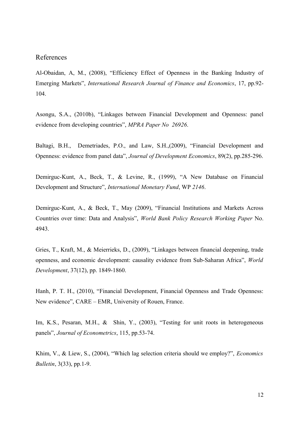# References

Al-Obaidan, A, M., (2008), "Efficiency Effect of Openness in the Banking Industry of Emerging Markets", *International Research Journal of Finance and Economics*, 17, pp.92- 104.

Asongu, S.A., (2010b), "Linkages between Financial Development and Openness: panel evidence from developing countries", *MPRA Paper No 26926*.

Baltagi, B.H., Demetriades, P.O., and Law, S.H.,(2009), "Financial Development and Openness: evidence from panel data", *Journal of Development Economics*, 89(2), pp.285-296.

Demirguc-Kunt, A., Beck, T., & Levine, R., (1999), "A New Database on Financial Development and Structure", *International Monetary Fund*, WP *2146*.

Demirguc-Kunt, A., & Beck, T., May (2009), "Financial Institutions and Markets Across Countries over time: Data and Analysis", *World Bank Policy Research Working Paper* No. 4943.

Gries, T., Kraft, M., & Meierrieks, D., (2009), "Linkages between financial deepening, trade openness, and economic development: causality evidence from Sub-Saharan Africa", *World Development*, 37(12), pp. 1849-1860.

Hanh, P. T. H., (2010), "Financial Development, Financial Openness and Trade Openness: New evidence", CARE – EMR, University of Rouen, France.

Im, K.S., Pesaran, M.H., & Shin, Y., (2003), "Testing for unit roots in heterogeneous panels", *Journal of Econometrics*, 115, pp.53-74.

Khim, V., & Liew, S., (2004), "Which lag selection criteria should we employ?", *Economics Bulletin*, 3(33), pp.1-9.